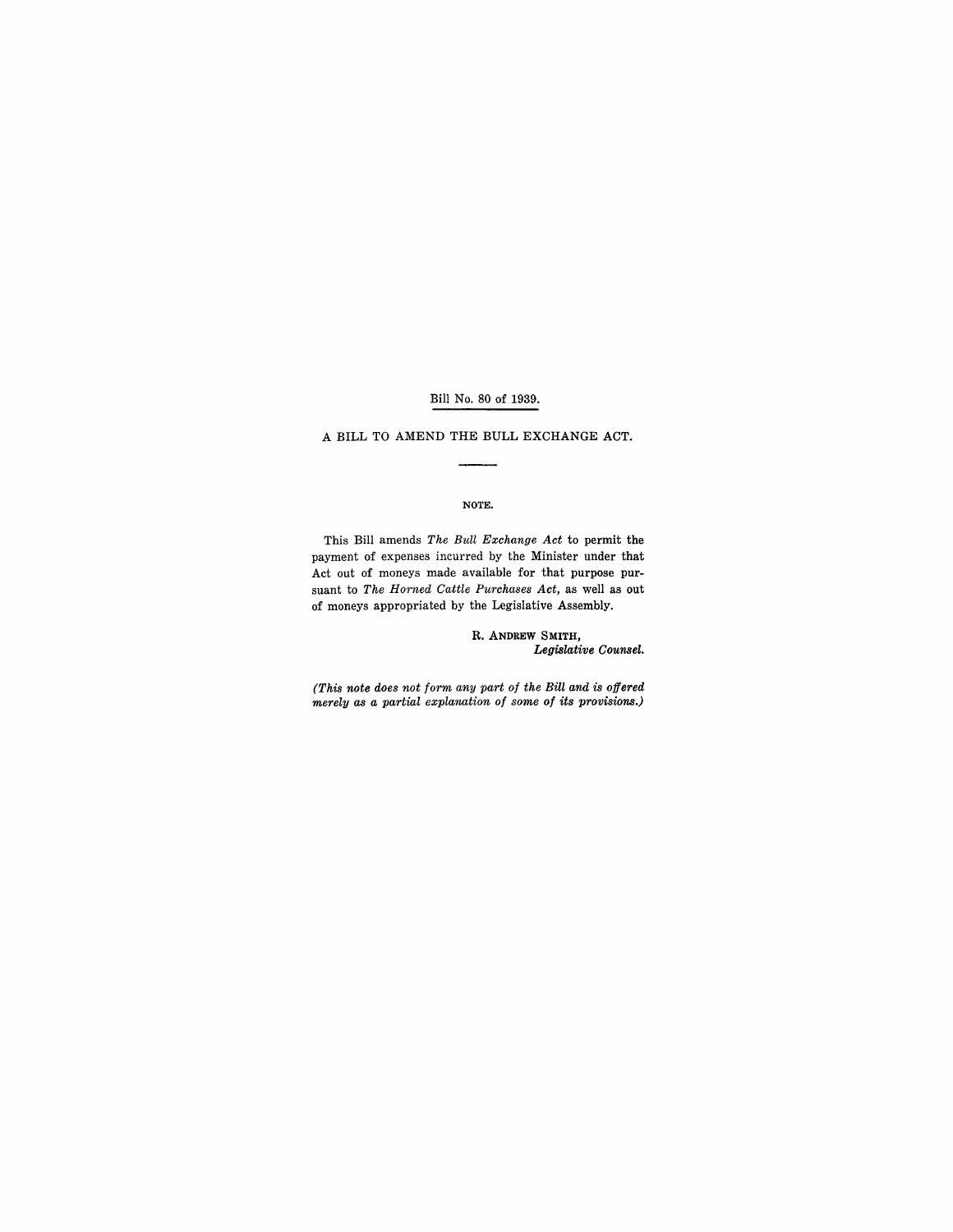### Bill No. 80 of 1939.

A BILL TO AMEND THE BULL EXCHANGE ACT.

### NOTE.

This Bill amends *The Bull Exchange Act* to permit the payment of expenses incurred by the Minister under that Act out of moneys made available for that purpose pursuant to *The Horned Cattle Purchases Act,* as well as out of moneys appropriated by the Legislative Assembly.

> R. ANDREW SMITH, *Legislative Counsel.*

*(This note does not form any part of the Bill and is offered merely as a partial explanation of some of its provisions.)*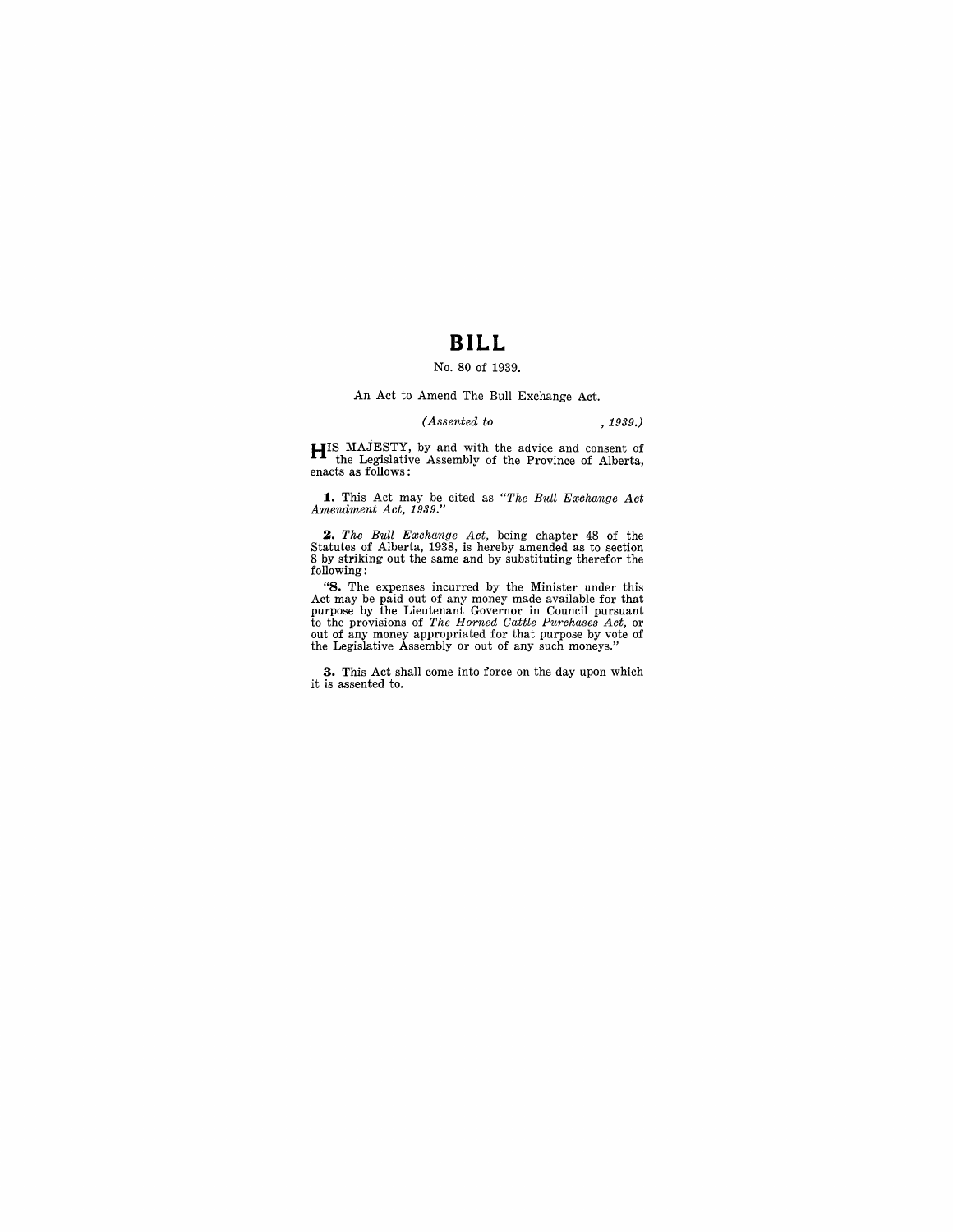# **BILL**

#### No. 80 of 1939.

An Act to Amend The Bull Exchange Act.

## *(Assented to* , 1939.)

**HIS** MAJESTY, by and with the advice and consent of the Legislative Assembly of the Province of Alberta, enacts as follows:

**1.** This Act may be cited as *"The Bull Exchange Act Amendment Act, 1939."* 

2. The Bull Exchange Act, being chapter 48 of the Statutes of Alberta, 1938, is hereby amended as to section 8 by striking out the same and by substituting therefor the following:

"S. The expenses incurred by the Minister under this Act may be paid out of any money made available for that purpose by the Lieutenant Governor in Council pursuant to the provisions of The Horned Cattle Purchases Act, or

**3.** This Act shall come into force on the day upon which it is assented to.